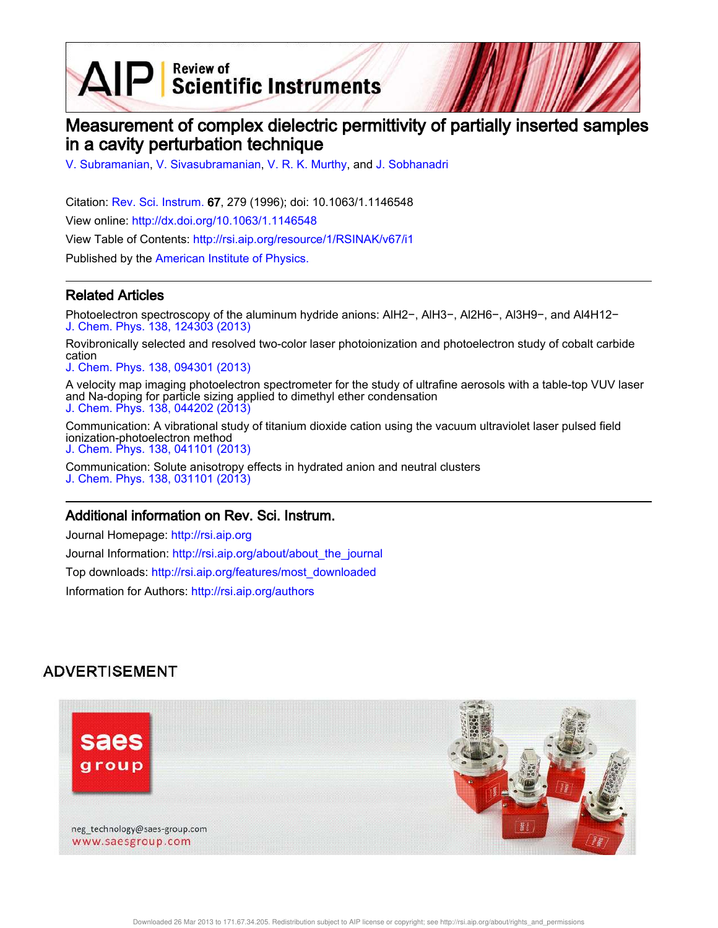$\mathbf{A}\mathbf{P}$  Scientific Instruments

# Measurement of complex dielectric permittivity of partially inserted samples in a cavity perturbation technique

V. Subramanian, V. Sivasubramanian, V. R. K. Murthy, and J. Sobhanadri

Citation: Rev. Sci. Instrum. 67, 279 (1996); doi: 10.1063/1.1146548 View online: http://dx.doi.org/10.1063/1.1146548 View Table of Contents: http://rsi.aip.org/resource/1/RSINAK/v67/i1

Published by the American Institute of Physics.

### Related Articles

Photoelectron spectroscopy of the aluminum hydride anions: AlH2−, AlH3−, Al2H6−, Al3H9−, and Al4H12− J. Chem. Phys. 138, 124303 (2013)

Rovibronically selected and resolved two-color laser photoionization and photoelectron study of cobalt carbide cation

J. Chem. Phys. 138, 094301 (2013)

A velocity map imaging photoelectron spectrometer for the study of ultrafine aerosols with a table-top VUV laser and Na-doping for particle sizing applied to dimethyl ether condensation J. Chem. Phys. 138, 044202 (2013)

Communication: A vibrational study of titanium dioxide cation using the vacuum ultraviolet laser pulsed field ionization-photoelectron method J. Chem. Phys. 138, 041101 (2013)

Communication: Solute anisotropy effects in hydrated anion and neutral clusters J. Chem. Phys. 138, 031101 (2013)

### Additional information on Rev. Sci. Instrum.

Journal Homepage: http://rsi.aip.org Journal Information: http://rsi.aip.org/about/about\_the\_journal Top downloads: http://rsi.aip.org/features/most\_downloaded Information for Authors: http://rsi.aip.org/authors

## **ADVERTISEMENT**

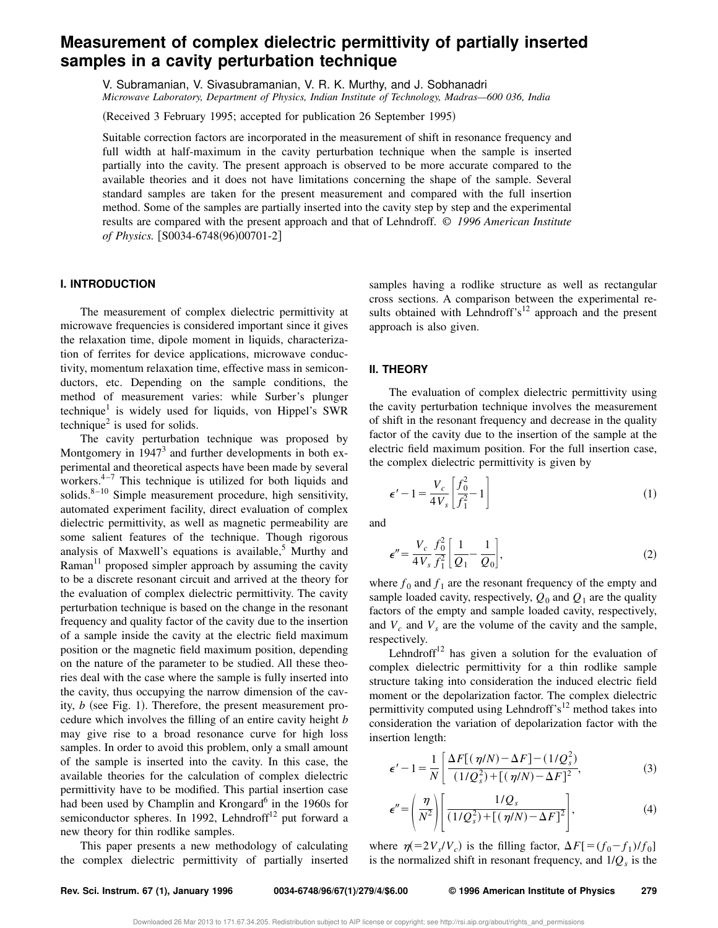# **Measurement of complex dielectric permittivity of partially inserted samples in a cavity perturbation technique**

V. Subramanian, V. Sivasubramanian, V. R. K. Murthy, and J. Sobhanadri *Microwave Laboratory, Department of Physics, Indian Institute of Technology, Madras—600 036, India*

(Received 3 February 1995; accepted for publication 26 September 1995)

Suitable correction factors are incorporated in the measurement of shift in resonance frequency and full width at half-maximum in the cavity perturbation technique when the sample is inserted partially into the cavity. The present approach is observed to be more accurate compared to the available theories and it does not have limitations concerning the shape of the sample. Several standard samples are taken for the present measurement and compared with the full insertion method. Some of the samples are partially inserted into the cavity step by step and the experimental results are compared with the present approach and that of Lehndroff. © *1996 American Institute of Physics.* [S0034-6748(96)00701-2]

### **I. INTRODUCTION**

The measurement of complex dielectric permittivity at microwave frequencies is considered important since it gives the relaxation time, dipole moment in liquids, characterization of ferrites for device applications, microwave conductivity, momentum relaxation time, effective mass in semiconductors, etc. Depending on the sample conditions, the method of measurement varies: while Surber's plunger technique<sup>1</sup> is widely used for liquids, von Hippel's SWR technique<sup>2</sup> is used for solids.

The cavity perturbation technique was proposed by Montgomery in  $1947<sup>3</sup>$  and further developments in both experimental and theoretical aspects have been made by several workers. $4\frac{4}{7}$  This technique is utilized for both liquids and solids. $8-10$  Simple measurement procedure, high sensitivity, automated experiment facility, direct evaluation of complex dielectric permittivity, as well as magnetic permeability are some salient features of the technique. Though rigorous analysis of Maxwell's equations is available,<sup>5</sup> Murthy and Raman $^{11}$  proposed simpler approach by assuming the cavity to be a discrete resonant circuit and arrived at the theory for the evaluation of complex dielectric permittivity. The cavity perturbation technique is based on the change in the resonant frequency and quality factor of the cavity due to the insertion of a sample inside the cavity at the electric field maximum position or the magnetic field maximum position, depending on the nature of the parameter to be studied. All these theories deal with the case where the sample is fully inserted into the cavity, thus occupying the narrow dimension of the cavity,  $b$  (see Fig. 1). Therefore, the present measurement procedure which involves the filling of an entire cavity height *b* may give rise to a broad resonance curve for high loss samples. In order to avoid this problem, only a small amount of the sample is inserted into the cavity. In this case, the available theories for the calculation of complex dielectric permittivity have to be modified. This partial insertion case had been used by Champlin and Krongard<sup>6</sup> in the 1960s for semiconductor spheres. In 1992, Lehndroff<sup>12</sup> put forward a new theory for thin rodlike samples.

This paper presents a new methodology of calculating the complex dielectric permittivity of partially inserted samples having a rodlike structure as well as rectangular cross sections. A comparison between the experimental results obtained with Lehndroff's<sup>12</sup> approach and the present approach is also given.

#### **II. THEORY**

The evaluation of complex dielectric permittivity using the cavity perturbation technique involves the measurement of shift in the resonant frequency and decrease in the quality factor of the cavity due to the insertion of the sample at the electric field maximum position. For the full insertion case, the complex dielectric permittivity is given by

$$
\epsilon'-1 = \frac{V_c}{4V_s} \left[ \frac{f_0^2}{f_1^2} - 1 \right] \tag{1}
$$

and

$$
\epsilon'' = \frac{V_c}{4V_s} \frac{f_0^2}{f_1^2} \left[ \frac{1}{Q_1} - \frac{1}{Q_0} \right],\tag{2}
$$

where  $f_0$  and  $f_1$  are the resonant frequency of the empty and sample loaded cavity, respectively,  $Q_0$  and  $Q_1$  are the quality factors of the empty and sample loaded cavity, respectively, and  $V_c$  and  $V_s$  are the volume of the cavity and the sample, respectively.

Lehndroff<sup>12</sup> has given a solution for the evaluation of complex dielectric permittivity for a thin rodlike sample structure taking into consideration the induced electric field moment or the depolarization factor. The complex dielectric permittivity computed using Lehndroff's<sup>12</sup> method takes into consideration the variation of depolarization factor with the insertion length:

$$
\epsilon' - 1 = \frac{1}{N} \left[ \frac{\Delta F[(\eta/N) - \Delta F] - (1/Q_s^2)}{(1/Q_s^2) + [(\eta/N) - \Delta F]^2}, \right]
$$
(3)

$$
\epsilon'' = \left(\frac{\eta}{N^2}\right) \left[ \frac{1/Q_s}{(1/Q_s^2) + [(\eta/N) - \Delta F]^2} \right],\tag{4}
$$

where  $\eta = 2V_s/V_c$ ) is the filling factor,  $\Delta F$ [ $=(f_0 - f_1)/f_0$ ] is the normalized shift in resonant frequency, and 1/*Q<sup>s</sup>* is the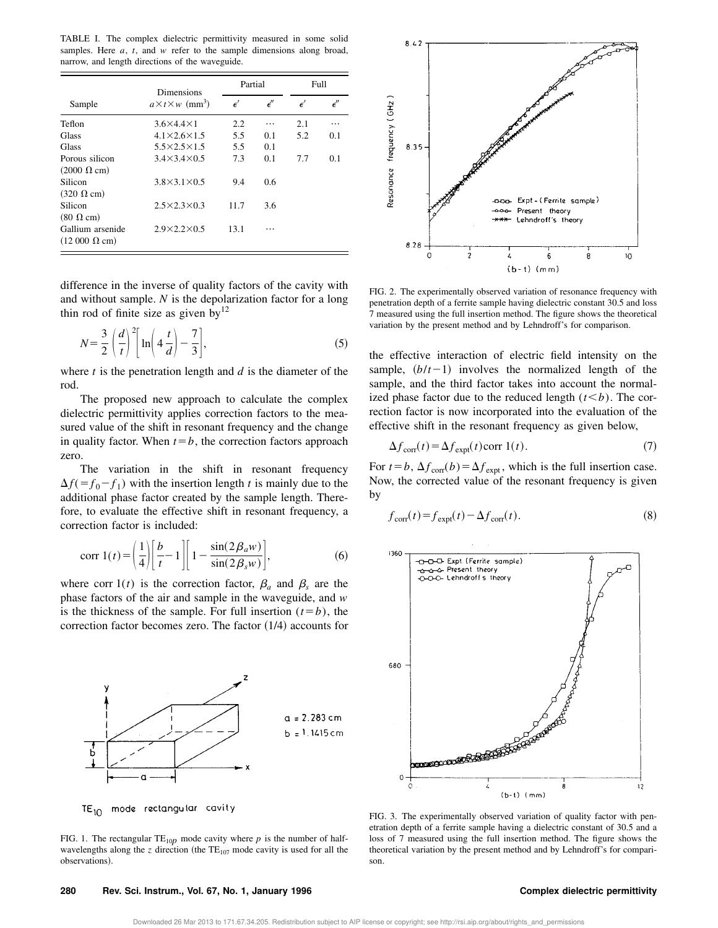TABLE I. The complex dielectric permittivity measured in some solid samples. Here *a*, *t*, and *w* refer to the sample dimensions along broad, narrow, and length directions of the waveguide.

|                             | <b>Dimensions</b>                        |             | Partial    |             | Full       |  |
|-----------------------------|------------------------------------------|-------------|------------|-------------|------------|--|
| Sample                      | $a \times t \times w$ (mm <sup>3</sup> ) | $\epsilon'$ | $\epsilon$ | $\epsilon'$ | $\epsilon$ |  |
| Teflon                      | $3.6\times4.4\times1$                    | 2.2         |            | 2.1         | .          |  |
| Glass                       | $4.1\times2.6\times1.5$                  | 5.5         | 0.1        | 5.2         | 0.1        |  |
| Glass                       | $5.5\times2.5\times1.5$                  | 5.5         | 0.1        |             |            |  |
| Porous silicon              | $3.4\times3.4\times0.5$                  | 7.3         | 0.1        | 7.7         | 0.1        |  |
| $(2000 \Omega \text{ cm})$  |                                          |             |            |             |            |  |
| Silicon                     | $3.8\times3.1\times0.5$                  | 9.4         | 0.6        |             |            |  |
| $(320 \Omega \text{ cm})$   |                                          |             |            |             |            |  |
| Silicon                     | $2.5\times2.3\times0.3$                  | 11.7        | 3.6        |             |            |  |
| $(80 \Omega \text{ cm})$    |                                          |             |            |             |            |  |
| Gallium arsenide            | $2.9\times2.2\times0.5$                  | 13.1        |            |             |            |  |
| $(12000 \Omega \text{ cm})$ |                                          |             |            |             |            |  |

difference in the inverse of quality factors of the cavity with and without sample. *N* is the depolarization factor for a long thin rod of finite size as given by $^{12}$ 

$$
N = \frac{3}{2} \left(\frac{d}{t}\right)^2 \left[\ln\left(4\frac{t}{d}\right) - \frac{7}{3}\right],\tag{5}
$$

where *t* is the penetration length and *d* is the diameter of the rod.

The proposed new approach to calculate the complex dielectric permittivity applies correction factors to the measured value of the shift in resonant frequency and the change in quality factor. When  $t=b$ , the correction factors approach zero.

The variation in the shift in resonant frequency  $\Delta f$ (= $f_0$ - $f_1$ ) with the insertion length *t* is mainly due to the additional phase factor created by the sample length. Therefore, to evaluate the effective shift in resonant frequency, a correction factor is included:

$$
\text{corr } 1(t) = \left(\frac{1}{4}\right) \left[\frac{b}{t} - 1\right] \left[1 - \frac{\sin(2\beta_a w)}{\sin(2\beta_s w)}\right],\tag{6}
$$

where corr  $1(t)$  is the correction factor,  $\beta_a$  and  $\beta_s$  are the phase factors of the air and sample in the waveguide, and *w* is the thickness of the sample. For full insertion  $(t=b)$ , the correction factor becomes zero. The factor  $(1/4)$  accounts for



TE<sub>10</sub> mode rectangular cavity

FIG. 1. The rectangular  $TE_{10p}$  mode cavity where *p* is the number of halfwavelengths along the *z* direction (the  $TE_{107}$  mode cavity is used for all the observations!.



FIG. 2. The experimentally observed variation of resonance frequency with penetration depth of a ferrite sample having dielectric constant 30.5 and loss 7 measured using the full insertion method. The figure shows the theoretical variation by the present method and by Lehndroff's for comparison.

the effective interaction of electric field intensity on the sample,  $(b/t-1)$  involves the normalized length of the sample, and the third factor takes into account the normalized phase factor due to the reduced length  $(t \le b)$ . The correction factor is now incorporated into the evaluation of the effective shift in the resonant frequency as given below,

$$
\Delta f_{\text{corr}}(t) = \Delta f_{\text{expt}}(t) \text{corr } 1(t). \tag{7}
$$

For  $t = b$ ,  $\Delta f_{\text{corr}}(b) = \Delta f_{\text{expt}}$ , which is the full insertion case. Now, the corrected value of the resonant frequency is given by

$$
f_{\text{corr}}(t) = f_{\text{expt}}(t) - \Delta f_{\text{corr}}(t). \tag{8}
$$



FIG. 3. The experimentally observed variation of quality factor with penetration depth of a ferrite sample having a dielectric constant of 30.5 and a loss of 7 measured using the full insertion method. The figure shows the theoretical variation by the present method and by Lehndroff's for comparison.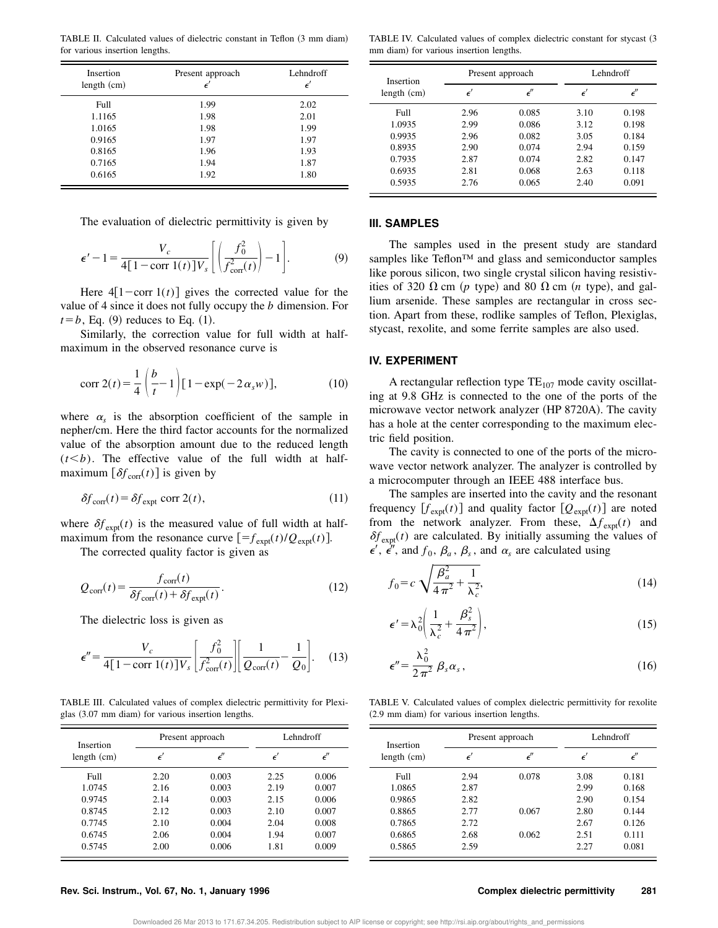TABLE II. Calculated values of dielectric constant in Teflon (3 mm diam) for various insertion lengths.

| Insertion<br>length $(cm)$ | Present approach<br>$\epsilon'$ | Lehndroff<br>$\epsilon'$ |
|----------------------------|---------------------------------|--------------------------|
| Full                       | 1.99                            | 2.02                     |
| 1.1165                     | 1.98                            | 2.01                     |
| 1.0165                     | 1.98                            | 1.99                     |
| 0.9165                     | 1.97                            | 1.97                     |
| 0.8165                     | 1.96                            | 1.93                     |
| 0.7165                     | 1.94                            | 1.87                     |
| 0.6165                     | 1.92                            | 1.80                     |

The evaluation of dielectric permittivity is given by

$$
\epsilon'-1=\frac{V_c}{4[1-\text{corr }1(t)]V_s}\left[\left(\frac{f_0^2}{f_{\text{corr}}^2(t)}\right)-1\right].\tag{9}
$$

Here  $4[1$ -corr  $1(t)$  gives the corrected value for the value of 4 since it does not fully occupy the *b* dimension. For  $t=b$ , Eq. (9) reduces to Eq. (1).

Similarly, the correction value for full width at halfmaximum in the observed resonance curve is

$$
\text{corr } 2(t) = \frac{1}{4} \left( \frac{b}{t} - 1 \right) [1 - \exp(-2 \alpha_s w)], \tag{10}
$$

where  $\alpha_s$  is the absorption coefficient of the sample in nepher/cm. Here the third factor accounts for the normalized value of the absorption amount due to the reduced length  $(t< b)$ . The effective value of the full width at halfmaximum  $[\delta f_{\text{corr}}(t)]$  is given by

$$
\delta f_{\text{corr}}(t) = \delta f_{\text{expt}} \text{ corr } 2(t),\tag{11}
$$

where  $\delta f_{\text{expt}}(t)$  is the measured value of full width at halfmaximum from the resonance curve  $[=f_{\text{expt}}(t)/Q_{\text{expt}}(t)].$ 

The corrected quality factor is given as

$$
Q_{\text{corr}}(t) = \frac{f_{\text{corr}}(t)}{\delta f_{\text{corr}}(t) + \delta f_{\text{expI}}(t)}.
$$
\n(12)

The dielectric loss is given as

$$
\epsilon'' = \frac{V_c}{4[1 - \text{corr }1(t)]V_s} \left[ \frac{f_0^2}{f_{\text{corr}}^2(t)} \right] \left[ \frac{1}{Q_{\text{corr}}(t)} - \frac{1}{Q_0} \right].
$$
 (13)

TABLE III. Calculated values of complex dielectric permittivity for Plexiglas  $(3.07 \text{ mm}$  diam) for various insertion lengths.

| Insertion<br>length $(cm)$ | Present approach |              |             | Lehndroff    |  |
|----------------------------|------------------|--------------|-------------|--------------|--|
|                            | $\epsilon'$      | $\epsilon''$ | $\epsilon'$ | $\epsilon''$ |  |
| Full                       | 2.20             | 0.003        | 2.25        | 0.006        |  |
| 1.0745                     | 2.16             | 0.003        | 2.19        | 0.007        |  |
| 0.9745                     | 2.14             | 0.003        | 2.15        | 0.006        |  |
| 0.8745                     | 2.12             | 0.003        | 2.10        | 0.007        |  |
| 0.7745                     | 2.10             | 0.004        | 2.04        | 0.008        |  |
| 0.6745                     | 2.06             | 0.004        | 1.94        | 0.007        |  |
| 0.5745                     | 2.00             | 0.006        | 1.81        | 0.009        |  |

TABLE IV. Calculated values of complex dielectric constant for stycast (3 mm diam) for various insertion lengths.

| Insertion   | Present approach |              | Lehndroff |       |
|-------------|------------------|--------------|-----------|-------|
| length (cm) |                  | $\epsilon''$ |           | €″    |
| Full        | 2.96             | 0.085        | 3.10      | 0.198 |
| 1.0935      | 2.99             | 0.086        | 3.12      | 0.198 |
| 0.9935      | 2.96             | 0.082        | 3.05      | 0.184 |
| 0.8935      | 2.90             | 0.074        | 2.94      | 0.159 |
| 0.7935      | 2.87             | 0.074        | 2.82      | 0.147 |
| 0.6935      | 2.81             | 0.068        | 2.63      | 0.118 |
| 0.5935      | 2.76             | 0.065        | 2.40      | 0.091 |

#### **III. SAMPLES**

The samples used in the present study are standard samples like Teflon<sup>™</sup> and glass and semiconductor samples like porous silicon, two single crystal silicon having resistivities of 320  $\Omega$  cm (p type) and 80  $\Omega$  cm (n type), and gallium arsenide. These samples are rectangular in cross section. Apart from these, rodlike samples of Teflon, Plexiglas, stycast, rexolite, and some ferrite samples are also used.

#### **IV. EXPERIMENT**

A rectangular reflection type  $TE_{107}$  mode cavity oscillating at 9.8 GHz is connected to the one of the ports of the microwave vector network analyzer (HP 8720A). The cavity has a hole at the center corresponding to the maximum electric field position.

The cavity is connected to one of the ports of the microwave vector network analyzer. The analyzer is controlled by a microcomputer through an IEEE 488 interface bus.

The samples are inserted into the cavity and the resonant frequency  $[f_{\text{expt}}(t)]$  and quality factor  $[Q_{\text{expt}}(t)]$  are noted from the network analyzer. From these,  $\Delta f_{\text{expt}}(t)$  and  $\delta f_{\text{expt}}(t)$  are calculated. By initially assuming the values of  $\epsilon'$ ,  $\epsilon''$ , and  $f_0$ ,  $\beta_a$ ,  $\beta_s$ , and  $\alpha_s$  are calculated using

$$
f_0 = c \sqrt{\frac{\beta_a^2}{4\pi^2} + \frac{1}{\lambda_c^2}},
$$
\n(14)

$$
\epsilon' = \lambda_0^2 \left( \frac{1}{\lambda_c^2} + \frac{\beta_s^2}{4 \pi^2} \right),\tag{15}
$$

$$
\epsilon'' = \frac{\lambda_0^2}{2\,\pi^2} \,\beta_s \alpha_s \,,\tag{16}
$$

TABLE V. Calculated values of complex dielectric permittivity for rexolite  $(2.9 \text{ mm}$  diam) for various insertion lengths.

| Insertion     |      | Lehndroff<br>Present approach |             |       |
|---------------|------|-------------------------------|-------------|-------|
| length $(cm)$ |      | ť"                            | $\epsilon'$ | יה    |
| Full          | 2.94 | 0.078                         | 3.08        | 0.181 |
| 1.0865        | 2.87 |                               | 2.99        | 0.168 |
| 0.9865        | 2.82 |                               | 2.90        | 0.154 |
| 0.8865        | 2.77 | 0.067                         | 2.80        | 0.144 |
| 0.7865        | 2.72 |                               | 2.67        | 0.126 |
| 0.6865        | 2.68 | 0.062                         | 2.51        | 0.111 |
| 0.5865        | 2.59 |                               | 2.27        | 0.081 |